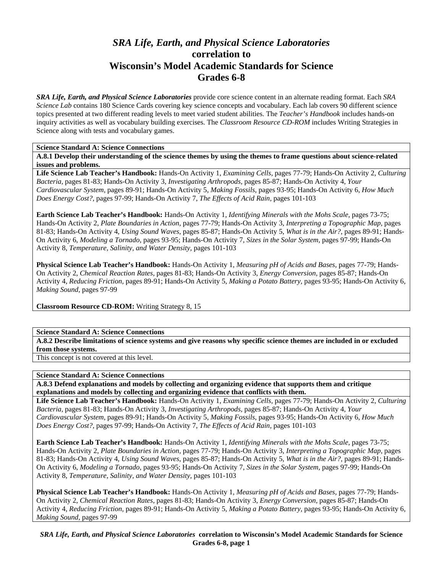# *SRA Life, Earth, and Physical Science Laboratories*  **correlation to Wisconsin's Model Academic Standards for Science Grades 6-8**

*SRA Life, Earth, and Physical Science Laboratories* provide core science content in an alternate reading format. Each *SRA Science Lab* contains 180 Science Cards covering key science concepts and vocabulary. Each lab covers 90 different science topics presented at two different reading levels to meet varied student abilities. The *Teacher's Handbook* includes hands-on inquiry activities as well as vocabulary building exercises. The *Classroom Resource CD-ROM* includes Writing Strategies in Science along with tests and vocabulary games.

#### **Science Standard A: Science Connections**

**A.8.1 Develop their understanding of the science themes by using the themes to frame questions about science-related issues and problems.** 

**Life Science Lab Teacher's Handbook:** Hands-On Activity 1, *Examining Cells,* pages 77-79; Hands-On Activity 2, *Culturing Bacteria,* pages 81-83; Hands-On Activity 3, *Investigating Arthropods,* pages 85-87; Hands-On Activity 4, *Your Cardiovascular System,* pages 89-91; Hands-On Activity 5, *Making Fossils,* pages 93-95; Hands-On Activity 6, *How Much Does Energy Cost?,* pages 97-99; Hands-On Activity 7, *The Effects of Acid Rain,* pages 101-103

**Earth Science Lab Teacher's Handbook:** Hands-On Activity 1, *Identifying Minerals with the Mohs Scale,* pages 73-75; Hands-On Activity 2, *Plate Boundaries in Action,* pages 77-79; Hands-On Activity 3, *Interpreting a Topographic Map,* pages 81-83; Hands-On Activity 4, *Using Sound Waves,* pages 85-87; Hands-On Activity 5, *What is in the Air?,* pages 89-91; Hands-On Activity 6, *Modeling a Tornado,* pages 93-95; Hands-On Activity 7, *Sizes in the Solar System,* pages 97-99; Hands-On Activity 8, *Temperature, Salinity, and Water Density,* pages 101-103

**Physical Science Lab Teacher's Handbook:** Hands-On Activity 1, *Measuring pH of Acids and Bases,* pages 77-79; Hands-On Activity 2, *Chemical Reaction Rates,* pages 81-83; Hands-On Activity 3, *Energy Conversion,* pages 85-87; Hands-On Activity 4, *Reducing Friction,* pages 89-91; Hands-On Activity 5, *Making a Potato Battery,* pages 93-95; Hands-On Activity 6, *Making Sound,* pages 97-99

**Classroom Resource CD-ROM:** Writing Strategy 8, 15

**Science Standard A: Science Connections** 

**A.8.2 Describe limitations of science systems and give reasons why specific science themes are included in or excluded from those systems.** 

This concept is not covered at this level.

# **Science Standard A: Science Connections**

**A.8.3 Defend explanations and models by collecting and organizing evidence that supports them and critique explanations and models by collecting and organizing evidence that conflicts with them.** 

**Life Science Lab Teacher's Handbook:** Hands-On Activity 1, *Examining Cells,* pages 77-79; Hands-On Activity 2, *Culturing Bacteria,* pages 81-83; Hands-On Activity 3, *Investigating Arthropods,* pages 85-87; Hands-On Activity 4, *Your Cardiovascular System,* pages 89-91; Hands-On Activity 5, *Making Fossils,* pages 93-95; Hands-On Activity 6, *How Much Does Energy Cost?,* pages 97-99; Hands-On Activity 7, *The Effects of Acid Rain,* pages 101-103

**Earth Science Lab Teacher's Handbook:** Hands-On Activity 1, *Identifying Minerals with the Mohs Scale,* pages 73-75; Hands-On Activity 2, *Plate Boundaries in Action,* pages 77-79; Hands-On Activity 3, *Interpreting a Topographic Map,* pages 81-83; Hands-On Activity 4, *Using Sound Waves,* pages 85-87; Hands-On Activity 5, *What is in the Air?,* pages 89-91; Hands-On Activity 6, *Modeling a Tornado,* pages 93-95; Hands-On Activity 7, *Sizes in the Solar System,* pages 97-99; Hands-On Activity 8, *Temperature, Salinity, and Water Density,* pages 101-103

**Physical Science Lab Teacher's Handbook:** Hands-On Activity 1, *Measuring pH of Acids and Bases,* pages 77-79; Hands-On Activity 2, *Chemical Reaction Rates,* pages 81-83; Hands-On Activity 3, *Energy Conversion,* pages 85-87; Hands-On Activity 4, *Reducing Friction,* pages 89-91; Hands-On Activity 5, *Making a Potato Battery,* pages 93-95; Hands-On Activity 6, *Making Sound,* pages 97-99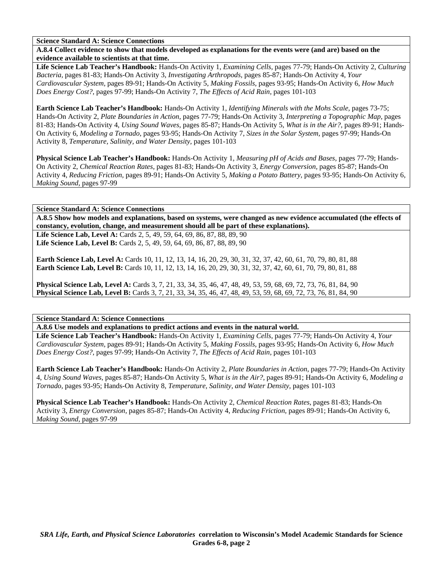#### **Science Standard A: Science Connections**

**A.8.4 Collect evidence to show that models developed as explanations for the events were (and are) based on the evidence available to scientists at that time.** 

**Life Science Lab Teacher's Handbook:** Hands-On Activity 1, *Examining Cells,* pages 77-79; Hands-On Activity 2, *Culturing Bacteria,* pages 81-83; Hands-On Activity 3, *Investigating Arthropods,* pages 85-87; Hands-On Activity 4, *Your Cardiovascular System,* pages 89-91; Hands-On Activity 5, *Making Fossils,* pages 93-95; Hands-On Activity 6, *How Much Does Energy Cost?,* pages 97-99; Hands-On Activity 7, *The Effects of Acid Rain,* pages 101-103

**Earth Science Lab Teacher's Handbook:** Hands-On Activity 1, *Identifying Minerals with the Mohs Scale,* pages 73-75; Hands-On Activity 2, *Plate Boundaries in Action,* pages 77-79; Hands-On Activity 3, *Interpreting a Topographic Map,* pages 81-83; Hands-On Activity 4, *Using Sound Waves,* pages 85-87; Hands-On Activity 5, *What is in the Air?,* pages 89-91; Hands-On Activity 6, *Modeling a Tornado,* pages 93-95; Hands-On Activity 7, *Sizes in the Solar System,* pages 97-99; Hands-On Activity 8, *Temperature, Salinity, and Water Density,* pages 101-103

**Physical Science Lab Teacher's Handbook:** Hands-On Activity 1, *Measuring pH of Acids and Bases,* pages 77-79; Hands-On Activity 2, *Chemical Reaction Rates,* pages 81-83; Hands-On Activity 3, *Energy Conversion,* pages 85-87; Hands-On Activity 4, *Reducing Friction,* pages 89-91; Hands-On Activity 5, *Making a Potato Battery,* pages 93-95; Hands-On Activity 6, *Making Sound,* pages 97-99

#### **Science Standard A: Science Connections**

**A.8.5 Show how models and explanations, based on systems, were changed as new evidence accumulated (the effects of constancy, evolution, change, and measurement should all be part of these explanations).** 

Life Science Lab, Level A: Cards 2, 5, 49, 59, 64, 69, 86, 87, 88, 89, 90 Life Science Lab, Level B: Cards 2, 5, 49, 59, 64, 69, 86, 87, 88, 89, 90

**Earth Science Lab, Level A:** Cards 10, 11, 12, 13, 14, 16, 20, 29, 30, 31, 32, 37, 42, 60, 61, 70, 79, 80, 81, 88 **Earth Science Lab, Level B:** Cards 10, 11, 12, 13, 14, 16, 20, 29, 30, 31, 32, 37, 42, 60, 61, 70, 79, 80, 81, 88

**Physical Science Lab, Level A:** Cards 3, 7, 21, 33, 34, 35, 46, 47, 48, 49, 53, 59, 68, 69, 72, 73, 76, 81, 84, 90 **Physical Science Lab, Level B:** Cards 3, 7, 21, 33, 34, 35, 46, 47, 48, 49, 53, 59, 68, 69, 72, 73, 76, 81, 84, 90

**Science Standard A: Science Connections** 

**A.8.6 Use models and explanations to predict actions and events in the natural world.** 

**Life Science Lab Teacher's Handbook:** Hands-On Activity 1, *Examining Cells,* pages 77-79; Hands-On Activity 4, *Your Cardiovascular System,* pages 89-91; Hands-On Activity 5, *Making Fossils,* pages 93-95; Hands-On Activity 6, *How Much Does Energy Cost?,* pages 97-99; Hands-On Activity 7, *The Effects of Acid Rain,* pages 101-103

**Earth Science Lab Teacher's Handbook:** Hands-On Activity 2, *Plate Boundaries in Action,* pages 77-79; Hands-On Activity 4, *Using Sound Waves,* pages 85-87; Hands-On Activity 5, *What is in the Air?,* pages 89-91; Hands-On Activity 6, *Modeling a Tornado,* pages 93-95; Hands-On Activity 8, *Temperature, Salinity, and Water Density,* pages 101-103

**Physical Science Lab Teacher's Handbook:** Hands-On Activity 2, *Chemical Reaction Rates,* pages 81-83; Hands-On Activity 3, *Energy Conversion,* pages 85-87; Hands-On Activity 4, *Reducing Friction,* pages 89-91; Hands-On Activity 6, *Making Sound,* pages 97-99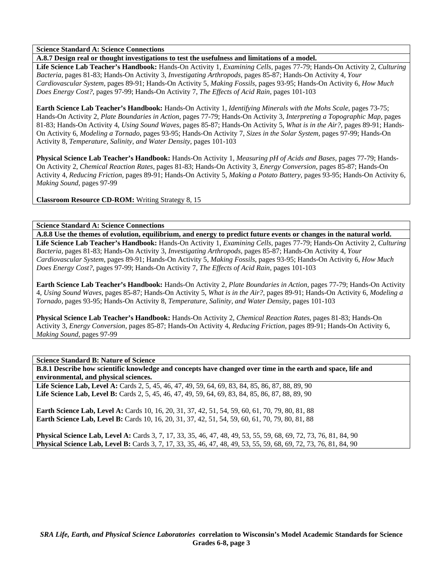## **Science Standard A: Science Connections**

**A.8.7 Design real or thought investigations to test the usefulness and limitations of a model.** 

**Life Science Lab Teacher's Handbook:** Hands-On Activity 1, *Examining Cells,* pages 77-79; Hands-On Activity 2, *Culturing Bacteria,* pages 81-83; Hands-On Activity 3, *Investigating Arthropods,* pages 85-87; Hands-On Activity 4, *Your Cardiovascular System,* pages 89-91; Hands-On Activity 5, *Making Fossils,* pages 93-95; Hands-On Activity 6, *How Much Does Energy Cost?,* pages 97-99; Hands-On Activity 7, *The Effects of Acid Rain,* pages 101-103

**Earth Science Lab Teacher's Handbook:** Hands-On Activity 1, *Identifying Minerals with the Mohs Scale,* pages 73-75; Hands-On Activity 2, *Plate Boundaries in Action,* pages 77-79; Hands-On Activity 3, *Interpreting a Topographic Map,* pages 81-83; Hands-On Activity 4, *Using Sound Waves,* pages 85-87; Hands-On Activity 5, *What is in the Air?,* pages 89-91; Hands-On Activity 6, *Modeling a Tornado,* pages 93-95; Hands-On Activity 7, *Sizes in the Solar System,* pages 97-99; Hands-On Activity 8, *Temperature, Salinity, and Water Density,* pages 101-103

**Physical Science Lab Teacher's Handbook:** Hands-On Activity 1, *Measuring pH of Acids and Bases,* pages 77-79; Hands-On Activity 2, *Chemical Reaction Rates,* pages 81-83; Hands-On Activity 3, *Energy Conversion,* pages 85-87; Hands-On Activity 4, *Reducing Friction,* pages 89-91; Hands-On Activity 5, *Making a Potato Battery,* pages 93-95; Hands-On Activity 6, *Making Sound,* pages 97-99

**Classroom Resource CD-ROM:** Writing Strategy 8, 15

**Science Standard A: Science Connections** 

**A.8.8 Use the themes of evolution, equilibrium, and energy to predict future events or changes in the natural world. Life Science Lab Teacher's Handbook:** Hands-On Activity 1, *Examining Cells,* pages 77-79; Hands-On Activity 2, *Culturing Bacteria,* pages 81-83; Hands-On Activity 3, *Investigating Arthropods,* pages 85-87; Hands-On Activity 4, *Your Cardiovascular System,* pages 89-91; Hands-On Activity 5, *Making Fossils,* pages 93-95; Hands-On Activity 6, *How Much Does Energy Cost?,* pages 97-99; Hands-On Activity 7, *The Effects of Acid Rain,* pages 101-103

**Earth Science Lab Teacher's Handbook:** Hands-On Activity 2, *Plate Boundaries in Action,* pages 77-79; Hands-On Activity 4, *Using Sound Waves,* pages 85-87; Hands-On Activity 5, *What is in the Air?,* pages 89-91; Hands-On Activity 6, *Modeling a Tornado,* pages 93-95; Hands-On Activity 8, *Temperature, Salinity, and Water Density,* pages 101-103

**Physical Science Lab Teacher's Handbook:** Hands-On Activity 2, *Chemical Reaction Rates,* pages 81-83; Hands-On Activity 3, *Energy Conversion,* pages 85-87; Hands-On Activity 4, *Reducing Friction,* pages 89-91; Hands-On Activity 6, *Making Sound,* pages 97-99

# **Science Standard B: Nature of Science**

**B.8.1 Describe how scientific knowledge and concepts have changed over time in the earth and space, life and environmental, and physical sciences.** 

**Life Science Lab, Level A:** Cards 2, 5, 45, 46, 47, 49, 59, 64, 69, 83, 84, 85, 86, 87, 88, 89, 90 **Life Science Lab, Level B:** Cards 2, 5, 45, 46, 47, 49, 59, 64, 69, 83, 84, 85, 86, 87, 88, 89, 90

**Earth Science Lab, Level A:** Cards 10, 16, 20, 31, 37, 42, 51, 54, 59, 60, 61, 70, 79, 80, 81, 88 **Earth Science Lab, Level B:** Cards 10, 16, 20, 31, 37, 42, 51, 54, 59, 60, 61, 70, 79, 80, 81, 88

**Physical Science Lab, Level A:** Cards 3, 7, 17, 33, 35, 46, 47, 48, 49, 53, 55, 59, 68, 69, 72, 73, 76, 81, 84, 90 **Physical Science Lab, Level B:** Cards 3, 7, 17, 33, 35, 46, 47, 48, 49, 53, 55, 59, 68, 69, 72, 73, 76, 81, 84, 90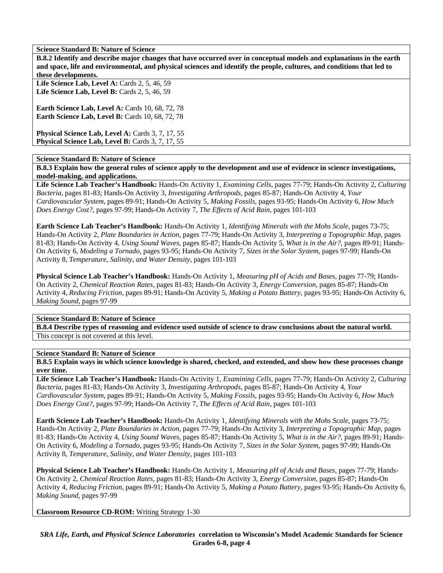**Science Standard B: Nature of Science** 

**B.8.2 Identify and describe major changes that have occurred over in conceptual models and explanations in the earth and space, life and environmental, and physical sciences and identify the people, cultures, and conditions that led to these developments.** 

Life Science Lab, Level A: Cards 2, 5, 46, 59 **Life Science Lab, Level B:** Cards 2, 5, 46, 59

**Earth Science Lab, Level A: Cards 10, 68, 72, 78 Earth Science Lab, Level B: Cards 10, 68, 72, 78** 

Physical Science Lab, Level A: Cards 3, 7, 17, 55 **Physical Science Lab, Level B: Cards 3, 7, 17, 55** 

#### **Science Standard B: Nature of Science**

**B.8.3 Explain how the general rules of science apply to the development and use of evidence in science investigations, model-making, and applications.** 

**Life Science Lab Teacher's Handbook:** Hands-On Activity 1, *Examining Cells,* pages 77-79; Hands-On Activity 2, *Culturing Bacteria,* pages 81-83; Hands-On Activity 3, *Investigating Arthropods,* pages 85-87; Hands-On Activity 4, *Your Cardiovascular System,* pages 89-91; Hands-On Activity 5, *Making Fossils,* pages 93-95; Hands-On Activity 6, *How Much Does Energy Cost?,* pages 97-99; Hands-On Activity 7, *The Effects of Acid Rain,* pages 101-103

**Earth Science Lab Teacher's Handbook:** Hands-On Activity 1, *Identifying Minerals with the Mohs Scale,* pages 73-75; Hands-On Activity 2, *Plate Boundaries in Action,* pages 77-79; Hands-On Activity 3, *Interpreting a Topographic Map,* pages 81-83; Hands-On Activity 4, *Using Sound Waves,* pages 85-87; Hands-On Activity 5, *What is in the Air?,* pages 89-91; Hands-On Activity 6, *Modeling a Tornado,* pages 93-95; Hands-On Activity 7, *Sizes in the Solar System,* pages 97-99; Hands-On Activity 8, *Temperature, Salinity, and Water Density,* pages 101-103

**Physical Science Lab Teacher's Handbook:** Hands-On Activity 1, *Measuring pH of Acids and Bases,* pages 77-79; Hands-On Activity 2, *Chemical Reaction Rates,* pages 81-83; Hands-On Activity 3, *Energy Conversion,* pages 85-87; Hands-On Activity 4, *Reducing Friction,* pages 89-91; Hands-On Activity 5, *Making a Potato Battery,* pages 93-95; Hands-On Activity 6, *Making Sound,* pages 97-99

# **Science Standard B: Nature of Science**

**B.8.4 Describe types of reasoning and evidence used outside of science to draw conclusions about the natural world.**  This concept is not covered at this level.

**Science Standard B: Nature of Science** 

**B.8.5 Explain ways in which science knowledge is shared, checked, and extended, and show how these processes change over time.** 

**Life Science Lab Teacher's Handbook:** Hands-On Activity 1, *Examining Cells,* pages 77-79; Hands-On Activity 2, *Culturing Bacteria,* pages 81-83; Hands-On Activity 3, *Investigating Arthropods,* pages 85-87; Hands-On Activity 4, *Your Cardiovascular System,* pages 89-91; Hands-On Activity 5, *Making Fossils,* pages 93-95; Hands-On Activity 6, *How Much Does Energy Cost?,* pages 97-99; Hands-On Activity 7, *The Effects of Acid Rain,* pages 101-103

**Earth Science Lab Teacher's Handbook:** Hands-On Activity 1, *Identifying Minerals with the Mohs Scale,* pages 73-75; Hands-On Activity 2, *Plate Boundaries in Action,* pages 77-79; Hands-On Activity 3, *Interpreting a Topographic Map,* pages 81-83; Hands-On Activity 4, *Using Sound Waves,* pages 85-87; Hands-On Activity 5, *What is in the Air?,* pages 89-91; Hands-On Activity 6, *Modeling a Tornado,* pages 93-95; Hands-On Activity 7, *Sizes in the Solar System,* pages 97-99; Hands-On Activity 8, *Temperature, Salinity, and Water Density,* pages 101-103

**Physical Science Lab Teacher's Handbook:** Hands-On Activity 1, *Measuring pH of Acids and Bases,* pages 77-79; Hands-On Activity 2, *Chemical Reaction Rates,* pages 81-83; Hands-On Activity 3, *Energy Conversion,* pages 85-87; Hands-On Activity 4, *Reducing Friction,* pages 89-91; Hands-On Activity 5, *Making a Potato Battery,* pages 93-95; Hands-On Activity 6, *Making Sound,* pages 97-99

**Classroom Resource CD-ROM:** Writing Strategy 1-30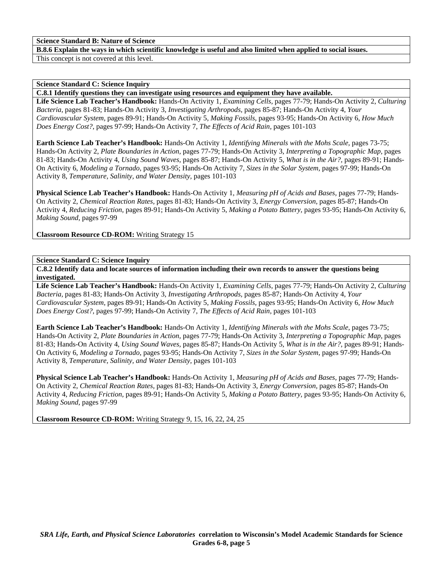## **Science Standard B: Nature of Science**

**B.8.6 Explain the ways in which scientific knowledge is useful and also limited when applied to social issues.** 

This concept is not covered at this level.

#### **Science Standard C: Science Inquiry**

**C.8.1 Identify questions they can investigate using resources and equipment they have available.** 

**Life Science Lab Teacher's Handbook:** Hands-On Activity 1, *Examining Cells,* pages 77-79; Hands-On Activity 2, *Culturing Bacteria,* pages 81-83; Hands-On Activity 3, *Investigating Arthropods,* pages 85-87; Hands-On Activity 4, *Your Cardiovascular System,* pages 89-91; Hands-On Activity 5, *Making Fossils,* pages 93-95; Hands-On Activity 6, *How Much Does Energy Cost?,* pages 97-99; Hands-On Activity 7, *The Effects of Acid Rain,* pages 101-103

**Earth Science Lab Teacher's Handbook:** Hands-On Activity 1, *Identifying Minerals with the Mohs Scale,* pages 73-75; Hands-On Activity 2, *Plate Boundaries in Action,* pages 77-79; Hands-On Activity 3, *Interpreting a Topographic Map,* pages 81-83; Hands-On Activity 4, *Using Sound Waves,* pages 85-87; Hands-On Activity 5, *What is in the Air?,* pages 89-91; Hands-On Activity 6, *Modeling a Tornado,* pages 93-95; Hands-On Activity 7, *Sizes in the Solar System,* pages 97-99; Hands-On Activity 8, *Temperature, Salinity, and Water Density,* pages 101-103

**Physical Science Lab Teacher's Handbook:** Hands-On Activity 1, *Measuring pH of Acids and Bases,* pages 77-79; Hands-On Activity 2, *Chemical Reaction Rates,* pages 81-83; Hands-On Activity 3, *Energy Conversion,* pages 85-87; Hands-On Activity 4, *Reducing Friction,* pages 89-91; Hands-On Activity 5, *Making a Potato Battery,* pages 93-95; Hands-On Activity 6, *Making Sound,* pages 97-99

**Classroom Resource CD-ROM:** Writing Strategy 15

#### **Science Standard C: Science Inquiry**

**C.8.2 Identify data and locate sources of information including their own records to answer the questions being investigated.** 

**Life Science Lab Teacher's Handbook:** Hands-On Activity 1, *Examining Cells,* pages 77-79; Hands-On Activity 2, *Culturing Bacteria,* pages 81-83; Hands-On Activity 3, *Investigating Arthropods,* pages 85-87; Hands-On Activity 4, *Your Cardiovascular System,* pages 89-91; Hands-On Activity 5, *Making Fossils,* pages 93-95; Hands-On Activity 6, *How Much Does Energy Cost?,* pages 97-99; Hands-On Activity 7, *The Effects of Acid Rain,* pages 101-103

**Earth Science Lab Teacher's Handbook:** Hands-On Activity 1, *Identifying Minerals with the Mohs Scale,* pages 73-75; Hands-On Activity 2, *Plate Boundaries in Action,* pages 77-79; Hands-On Activity 3, *Interpreting a Topographic Map,* pages 81-83; Hands-On Activity 4, *Using Sound Waves,* pages 85-87; Hands-On Activity 5, *What is in the Air?,* pages 89-91; Hands-On Activity 6, *Modeling a Tornado,* pages 93-95; Hands-On Activity 7, *Sizes in the Solar System,* pages 97-99; Hands-On Activity 8, *Temperature, Salinity, and Water Density,* pages 101-103

**Physical Science Lab Teacher's Handbook:** Hands-On Activity 1, *Measuring pH of Acids and Bases,* pages 77-79; Hands-On Activity 2, *Chemical Reaction Rates,* pages 81-83; Hands-On Activity 3, *Energy Conversion,* pages 85-87; Hands-On Activity 4, *Reducing Friction,* pages 89-91; Hands-On Activity 5, *Making a Potato Battery,* pages 93-95; Hands-On Activity 6, *Making Sound,* pages 97-99

**Classroom Resource CD-ROM:** Writing Strategy 9, 15, 16, 22, 24, 25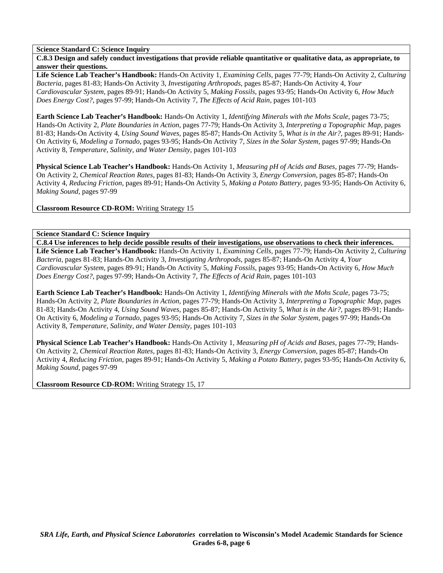**Science Standard C: Science Inquiry** 

**C.8.3 Design and safely conduct investigations that provide reliable quantitative or qualitative data, as appropriate, to answer their questions.** 

**Life Science Lab Teacher's Handbook:** Hands-On Activity 1, *Examining Cells,* pages 77-79; Hands-On Activity 2, *Culturing Bacteria,* pages 81-83; Hands-On Activity 3, *Investigating Arthropods,* pages 85-87; Hands-On Activity 4, *Your Cardiovascular System,* pages 89-91; Hands-On Activity 5, *Making Fossils,* pages 93-95; Hands-On Activity 6, *How Much Does Energy Cost?,* pages 97-99; Hands-On Activity 7, *The Effects of Acid Rain,* pages 101-103

**Earth Science Lab Teacher's Handbook:** Hands-On Activity 1, *Identifying Minerals with the Mohs Scale,* pages 73-75; Hands-On Activity 2, *Plate Boundaries in Action,* pages 77-79; Hands-On Activity 3, *Interpreting a Topographic Map,* pages 81-83; Hands-On Activity 4, *Using Sound Waves,* pages 85-87; Hands-On Activity 5, *What is in the Air?,* pages 89-91; Hands-On Activity 6, *Modeling a Tornado,* pages 93-95; Hands-On Activity 7, *Sizes in the Solar System,* pages 97-99; Hands-On Activity 8, *Temperature, Salinity, and Water Density,* pages 101-103

**Physical Science Lab Teacher's Handbook:** Hands-On Activity 1, *Measuring pH of Acids and Bases,* pages 77-79; Hands-On Activity 2, *Chemical Reaction Rates,* pages 81-83; Hands-On Activity 3, *Energy Conversion,* pages 85-87; Hands-On Activity 4, *Reducing Friction,* pages 89-91; Hands-On Activity 5, *Making a Potato Battery,* pages 93-95; Hands-On Activity 6, *Making Sound,* pages 97-99

**Classroom Resource CD-ROM:** Writing Strategy 15

**Science Standard C: Science Inquiry** 

**C.8.4 Use inferences to help decide possible results of their investigations, use observations to check their inferences. Life Science Lab Teacher's Handbook:** Hands-On Activity 1, *Examining Cells,* pages 77-79; Hands-On Activity 2, *Culturing Bacteria,* pages 81-83; Hands-On Activity 3, *Investigating Arthropods,* pages 85-87; Hands-On Activity 4, *Your Cardiovascular System,* pages 89-91; Hands-On Activity 5, *Making Fossils,* pages 93-95; Hands-On Activity 6, *How Much Does Energy Cost?,* pages 97-99; Hands-On Activity 7, *The Effects of Acid Rain,* pages 101-103

**Earth Science Lab Teacher's Handbook:** Hands-On Activity 1, *Identifying Minerals with the Mohs Scale,* pages 73-75; Hands-On Activity 2, *Plate Boundaries in Action,* pages 77-79; Hands-On Activity 3, *Interpreting a Topographic Map,* pages 81-83; Hands-On Activity 4, *Using Sound Waves,* pages 85-87; Hands-On Activity 5, *What is in the Air?,* pages 89-91; Hands-On Activity 6, *Modeling a Tornado,* pages 93-95; Hands-On Activity 7, *Sizes in the Solar System,* pages 97-99; Hands-On Activity 8, *Temperature, Salinity, and Water Density,* pages 101-103

**Physical Science Lab Teacher's Handbook:** Hands-On Activity 1, *Measuring pH of Acids and Bases,* pages 77-79; Hands-On Activity 2, *Chemical Reaction Rates,* pages 81-83; Hands-On Activity 3, *Energy Conversion,* pages 85-87; Hands-On Activity 4, *Reducing Friction,* pages 89-91; Hands-On Activity 5, *Making a Potato Battery,* pages 93-95; Hands-On Activity 6, *Making Sound,* pages 97-99

**Classroom Resource CD-ROM:** Writing Strategy 15, 17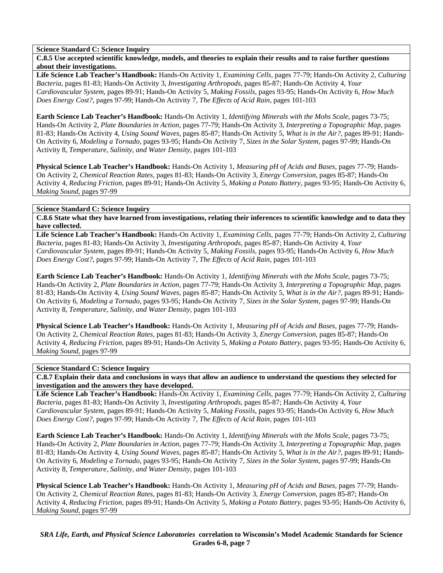# **Science Standard C: Science Inquiry**

**C.8.5 Use accepted scientific knowledge, models, and theories to explain their results and to raise further questions about their investigations.** 

**Life Science Lab Teacher's Handbook:** Hands-On Activity 1, *Examining Cells,* pages 77-79; Hands-On Activity 2, *Culturing Bacteria,* pages 81-83; Hands-On Activity 3, *Investigating Arthropods,* pages 85-87; Hands-On Activity 4, *Your Cardiovascular System,* pages 89-91; Hands-On Activity 5, *Making Fossils,* pages 93-95; Hands-On Activity 6, *How Much Does Energy Cost?,* pages 97-99; Hands-On Activity 7, *The Effects of Acid Rain,* pages 101-103

**Earth Science Lab Teacher's Handbook:** Hands-On Activity 1, *Identifying Minerals with the Mohs Scale,* pages 73-75; Hands-On Activity 2, *Plate Boundaries in Action,* pages 77-79; Hands-On Activity 3, *Interpreting a Topographic Map,* pages 81-83; Hands-On Activity 4, *Using Sound Waves,* pages 85-87; Hands-On Activity 5, *What is in the Air?,* pages 89-91; Hands-On Activity 6, *Modeling a Tornado,* pages 93-95; Hands-On Activity 7, *Sizes in the Solar System,* pages 97-99; Hands-On Activity 8, *Temperature, Salinity, and Water Density,* pages 101-103

**Physical Science Lab Teacher's Handbook:** Hands-On Activity 1, *Measuring pH of Acids and Bases,* pages 77-79; Hands-On Activity 2, *Chemical Reaction Rates,* pages 81-83; Hands-On Activity 3, *Energy Conversion,* pages 85-87; Hands-On Activity 4, *Reducing Friction,* pages 89-91; Hands-On Activity 5, *Making a Potato Battery,* pages 93-95; Hands-On Activity 6, *Making Sound,* pages 97-99

#### **Science Standard C: Science Inquiry**

**C.8.6 State what they have learned from investigations, relating their inferences to scientific knowledge and to data they have collected.** 

**Life Science Lab Teacher's Handbook:** Hands-On Activity 1, *Examining Cells,* pages 77-79; Hands-On Activity 2, *Culturing Bacteria,* pages 81-83; Hands-On Activity 3, *Investigating Arthropods,* pages 85-87; Hands-On Activity 4, *Your Cardiovascular System,* pages 89-91; Hands-On Activity 5, *Making Fossils,* pages 93-95; Hands-On Activity 6, *How Much Does Energy Cost?,* pages 97-99; Hands-On Activity 7, *The Effects of Acid Rain,* pages 101-103

**Earth Science Lab Teacher's Handbook:** Hands-On Activity 1, *Identifying Minerals with the Mohs Scale,* pages 73-75; Hands-On Activity 2, *Plate Boundaries in Action,* pages 77-79; Hands-On Activity 3, *Interpreting a Topographic Map,* pages 81-83; Hands-On Activity 4, *Using Sound Waves,* pages 85-87; Hands-On Activity 5, *What is in the Air?,* pages 89-91; Hands-On Activity 6, *Modeling a Tornado,* pages 93-95; Hands-On Activity 7, *Sizes in the Solar System,* pages 97-99; Hands-On Activity 8, *Temperature, Salinity, and Water Density,* pages 101-103

**Physical Science Lab Teacher's Handbook:** Hands-On Activity 1, *Measuring pH of Acids and Bases,* pages 77-79; Hands-On Activity 2, *Chemical Reaction Rates,* pages 81-83; Hands-On Activity 3, *Energy Conversion,* pages 85-87; Hands-On Activity 4, *Reducing Friction,* pages 89-91; Hands-On Activity 5, *Making a Potato Battery,* pages 93-95; Hands-On Activity 6, *Making Sound,* pages 97-99

#### **Science Standard C: Science Inquiry**

**C.8.7 Explain their data and conclusions in ways that allow an audience to understand the questions they selected for investigation and the answers they have developed.** 

**Life Science Lab Teacher's Handbook:** Hands-On Activity 1, *Examining Cells,* pages 77-79; Hands-On Activity 2, *Culturing Bacteria,* pages 81-83; Hands-On Activity 3, *Investigating Arthropods,* pages 85-87; Hands-On Activity 4, *Your Cardiovascular System,* pages 89-91; Hands-On Activity 5, *Making Fossils,* pages 93-95; Hands-On Activity 6, *How Much Does Energy Cost?,* pages 97-99; Hands-On Activity 7, *The Effects of Acid Rain,* pages 101-103

**Earth Science Lab Teacher's Handbook:** Hands-On Activity 1, *Identifying Minerals with the Mohs Scale,* pages 73-75; Hands-On Activity 2, *Plate Boundaries in Action,* pages 77-79; Hands-On Activity 3, *Interpreting a Topographic Map,* pages 81-83; Hands-On Activity 4, *Using Sound Waves,* pages 85-87; Hands-On Activity 5, *What is in the Air?,* pages 89-91; Hands-On Activity 6, *Modeling a Tornado,* pages 93-95; Hands-On Activity 7, *Sizes in the Solar System,* pages 97-99; Hands-On Activity 8, *Temperature, Salinity, and Water Density,* pages 101-103

**Physical Science Lab Teacher's Handbook:** Hands-On Activity 1, *Measuring pH of Acids and Bases,* pages 77-79; Hands-On Activity 2, *Chemical Reaction Rates,* pages 81-83; Hands-On Activity 3, *Energy Conversion,* pages 85-87; Hands-On Activity 4, *Reducing Friction,* pages 89-91; Hands-On Activity 5, *Making a Potato Battery,* pages 93-95; Hands-On Activity 6, *Making Sound,* pages 97-99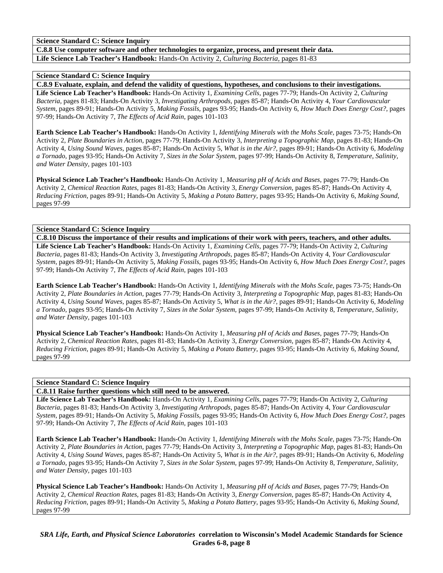**Science Standard C: Science Inquiry** 

**C.8.8 Use computer software and other technologies to organize, process, and present their data. Life Science Lab Teacher's Handbook:** Hands-On Activity 2, *Culturing Bacteria,* pages 81-83

## **Science Standard C: Science Inquiry**

**C.8.9 Evaluate, explain, and defend the validity of questions, hypotheses, and conclusions to their investigations.** 

**Life Science Lab Teacher's Handbook:** Hands-On Activity 1, *Examining Cells,* pages 77-79; Hands-On Activity 2, *Culturing Bacteria,* pages 81-83; Hands-On Activity 3, *Investigating Arthropods,* pages 85-87; Hands-On Activity 4, *Your Cardiovascular System,* pages 89-91; Hands-On Activity 5, *Making Fossils,* pages 93-95; Hands-On Activity 6, *How Much Does Energy Cost?,* pages 97-99; Hands-On Activity 7, *The Effects of Acid Rain,* pages 101-103

**Earth Science Lab Teacher's Handbook:** Hands-On Activity 1, *Identifying Minerals with the Mohs Scale,* pages 73-75; Hands-On Activity 2, *Plate Boundaries in Action,* pages 77-79; Hands-On Activity 3, *Interpreting a Topographic Map,* pages 81-83; Hands-On Activity 4, *Using Sound Waves,* pages 85-87; Hands-On Activity 5, *What is in the Air?,* pages 89-91; Hands-On Activity 6, *Modeling a Tornado,* pages 93-95; Hands-On Activity 7, *Sizes in the Solar System,* pages 97-99; Hands-On Activity 8, *Temperature, Salinity, and Water Density,* pages 101-103

**Physical Science Lab Teacher's Handbook:** Hands-On Activity 1, *Measuring pH of Acids and Bases,* pages 77-79; Hands-On Activity 2, *Chemical Reaction Rates,* pages 81-83; Hands-On Activity 3, *Energy Conversion,* pages 85-87; Hands-On Activity 4, *Reducing Friction,* pages 89-91; Hands-On Activity 5, *Making a Potato Battery,* pages 93-95; Hands-On Activity 6, *Making Sound,* pages 97-99

# **Science Standard C: Science Inquiry**

**C.8.10 Discuss the importance of their results and implications of their work with peers, teachers, and other adults. Life Science Lab Teacher's Handbook:** Hands-On Activity 1, *Examining Cells,* pages 77-79; Hands-On Activity 2, *Culturing Bacteria,* pages 81-83; Hands-On Activity 3, *Investigating Arthropods,* pages 85-87; Hands-On Activity 4, *Your Cardiovascular System,* pages 89-91; Hands-On Activity 5, *Making Fossils,* pages 93-95; Hands-On Activity 6, *How Much Does Energy Cost?,* pages 97-99; Hands-On Activity 7, *The Effects of Acid Rain,* pages 101-103

**Earth Science Lab Teacher's Handbook:** Hands-On Activity 1, *Identifying Minerals with the Mohs Scale,* pages 73-75; Hands-On Activity 2, *Plate Boundaries in Action,* pages 77-79; Hands-On Activity 3, *Interpreting a Topographic Map,* pages 81-83; Hands-On Activity 4, *Using Sound Waves,* pages 85-87; Hands-On Activity 5, *What is in the Air?,* pages 89-91; Hands-On Activity 6, *Modeling a Tornado,* pages 93-95; Hands-On Activity 7, *Sizes in the Solar System,* pages 97-99; Hands-On Activity 8, *Temperature, Salinity, and Water Density,* pages 101-103

**Physical Science Lab Teacher's Handbook:** Hands-On Activity 1, *Measuring pH of Acids and Bases,* pages 77-79; Hands-On Activity 2, *Chemical Reaction Rates,* pages 81-83; Hands-On Activity 3, *Energy Conversion,* pages 85-87; Hands-On Activity 4, *Reducing Friction,* pages 89-91; Hands-On Activity 5, *Making a Potato Battery,* pages 93-95; Hands-On Activity 6, *Making Sound,* pages 97-99

# **Science Standard C: Science Inquiry**

# **C.8.11 Raise further questions which still need to be answered.**

**Life Science Lab Teacher's Handbook:** Hands-On Activity 1, *Examining Cells,* pages 77-79; Hands-On Activity 2, *Culturing Bacteria,* pages 81-83; Hands-On Activity 3, *Investigating Arthropods,* pages 85-87; Hands-On Activity 4, *Your Cardiovascular System,* pages 89-91; Hands-On Activity 5, *Making Fossils,* pages 93-95; Hands-On Activity 6, *How Much Does Energy Cost?,* pages 97-99; Hands-On Activity 7, *The Effects of Acid Rain,* pages 101-103

**Earth Science Lab Teacher's Handbook:** Hands-On Activity 1, *Identifying Minerals with the Mohs Scale,* pages 73-75; Hands-On Activity 2, *Plate Boundaries in Action,* pages 77-79; Hands-On Activity 3, *Interpreting a Topographic Map,* pages 81-83; Hands-On Activity 4, *Using Sound Waves,* pages 85-87; Hands-On Activity 5, *What is in the Air?,* pages 89-91; Hands-On Activity 6, *Modeling a Tornado,* pages 93-95; Hands-On Activity 7, *Sizes in the Solar System,* pages 97-99; Hands-On Activity 8, *Temperature, Salinity, and Water Density,* pages 101-103

**Physical Science Lab Teacher's Handbook:** Hands-On Activity 1, *Measuring pH of Acids and Bases,* pages 77-79; Hands-On Activity 2, *Chemical Reaction Rates,* pages 81-83; Hands-On Activity 3, *Energy Conversion,* pages 85-87; Hands-On Activity 4, *Reducing Friction,* pages 89-91; Hands-On Activity 5, *Making a Potato Battery,* pages 93-95; Hands-On Activity 6, *Making Sound,* pages 97-99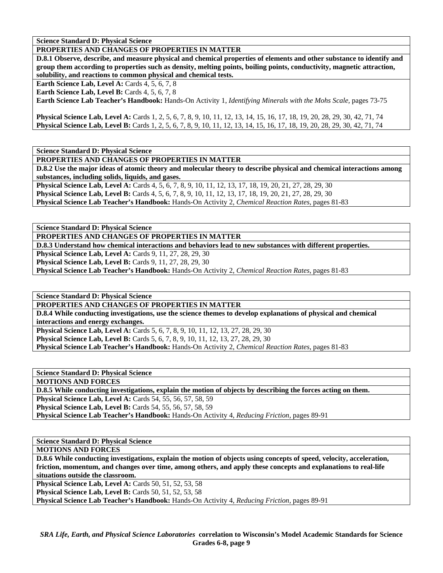**Science Standard D: Physical Science** 

# **PROPERTIES AND CHANGES OF PROPERTIES IN MATTER**

**D.8.1 Observe, describe, and measure physical and chemical properties of elements and other substance to identify and group them according to properties such as density, melting points, boiling points, conductivity, magnetic attraction, solubility, and reactions to common physical and chemical tests.** 

**Earth Science Lab, Level A: Cards 4, 5, 6, 7, 8** 

**Earth Science Lab, Level B:** Cards 4, 5, 6, 7, 8

**Earth Science Lab Teacher's Handbook:** Hands-On Activity 1, *Identifying Minerals with the Mohs Scale,* pages 73-75

**Physical Science Lab, Level A:** Cards 1, 2, 5, 6, 7, 8, 9, 10, 11, 12, 13, 14, 15, 16, 17, 18, 19, 20, 28, 29, 30, 42, 71, 74 **Physical Science Lab, Level B:** Cards 1, 2, 5, 6, 7, 8, 9, 10, 11, 12, 13, 14, 15, 16, 17, 18, 19, 20, 28, 29, 30, 42, 71, 74

**Science Standard D: Physical Science** 

**PROPERTIES AND CHANGES OF PROPERTIES IN MATTER** 

**D.8.2 Use the major ideas of atomic theory and molecular theory to describe physical and chemical interactions among substances, including solids, liquids, and gases.** 

**Physical Science Lab, Level A:** Cards 4, 5, 6, 7, 8, 9, 10, 11, 12, 13, 17, 18, 19, 20, 21, 27, 28, 29, 30

**Physical Science Lab, Level B:** Cards 4, 5, 6, 7, 8, 9, 10, 11, 12, 13, 17, 18, 19, 20, 21, 27, 28, 29, 30

**Physical Science Lab Teacher's Handbook:** Hands-On Activity 2, *Chemical Reaction Rates,* pages 81-83

**Science Standard D: Physical Science** 

**PROPERTIES AND CHANGES OF PROPERTIES IN MATTER** 

**D.8.3 Understand how chemical interactions and behaviors lead to new substances with different properties.** 

**Physical Science Lab, Level A: Cards 9, 11, 27, 28, 29, 30** 

**Physical Science Lab, Level B: Cards 9, 11, 27, 28, 29, 30** 

**Physical Science Lab Teacher's Handbook:** Hands-On Activity 2, *Chemical Reaction Rates,* pages 81-83

**Science Standard D: Physical Science** 

**PROPERTIES AND CHANGES OF PROPERTIES IN MATTER** 

**D.8.4 While conducting investigations, use the science themes to develop explanations of physical and chemical interactions and energy exchanges.** 

**Physical Science Lab, Level A:** Cards 5, 6, 7, 8, 9, 10, 11, 12, 13, 27, 28, 29, 30 **Physical Science Lab, Level B:** Cards 5, 6, 7, 8, 9, 10, 11, 12, 13, 27, 28, 29, 30

**Physical Science Lab Teacher's Handbook:** Hands-On Activity 2, *Chemical Reaction Rates,* pages 81-83

**Science Standard D: Physical Science** 

**MOTIONS AND FORCES** 

**D.8.5 While conducting investigations, explain the motion of objects by describing the forces acting on them. Physical Science Lab, Level A:** Cards 54, 55, 56, 57, 58, 59

**Physical Science Lab, Level B:** Cards 54, 55, 56, 57, 58, 59

**Physical Science Lab Teacher's Handbook:** Hands-On Activity 4, *Reducing Friction,* pages 89-91

**Science Standard D: Physical Science** 

**MOTIONS AND FORCES** 

**D.8.6 While conducting investigations, explain the motion of objects using concepts of speed, velocity, acceleration, friction, momentum, and changes over time, among others, and apply these concepts and explanations to real-life situations outside the classroom.** 

**Physical Science Lab, Level A: Cards 50, 51, 52, 53, 58** 

**Physical Science Lab, Level B:** Cards 50, 51, 52, 53, 58

**Physical Science Lab Teacher's Handbook:** Hands-On Activity 4, *Reducing Friction,* pages 89-91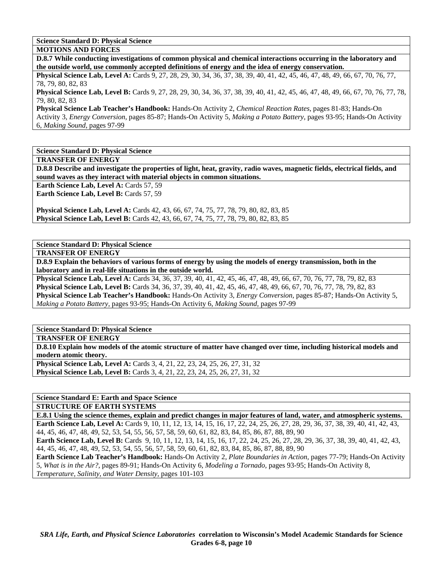**Science Standard D: Physical Science** 

**MOTIONS AND FORCES** 

**D.8.7 While conducting investigations of common physical and chemical interactions occurring in the laboratory and the outside world, use commonly accepted definitions of energy and the idea of energy conservation.** 

**Physical Science Lab, Level A:** Cards 9, 27, 28, 29, 30, 34, 36, 37, 38, 39, 40, 41, 42, 45, 46, 47, 48, 49, 66, 67, 70, 76, 77, 78, 79, 80, 82, 83

**Physical Science Lab, Level B:** Cards 9, 27, 28, 29, 30, 34, 36, 37, 38, 39, 40, 41, 42, 45, 46, 47, 48, 49, 66, 67, 70, 76, 77, 78, 79, 80, 82, 83

**Physical Science Lab Teacher's Handbook:** Hands-On Activity 2, *Chemical Reaction Rates,* pages 81-83; Hands-On Activity 3, *Energy Conversion,* pages 85-87; Hands-On Activity 5, *Making a Potato Battery,* pages 93-95; Hands-On Activity 6, *Making Sound,* pages 97-99

**Science Standard D: Physical Science** 

**TRANSFER OF ENERGY** 

**D.8.8 Describe and investigate the properties of light, heat, gravity, radio waves, magnetic fields, electrical fields, and sound waves as they interact with material objects in common situations.** 

**Earth Science Lab, Level A: Cards 57, 59 Earth Science Lab, Level B: Cards 57, 59** 

**Physical Science Lab, Level A:** Cards 42, 43, 66, 67, 74, 75, 77, 78, 79, 80, 82, 83, 85 **Physical Science Lab, Level B:** Cards 42, 43, 66, 67, 74, 75, 77, 78, 79, 80, 82, 83, 85

**Science Standard D: Physical Science** 

**TRANSFER OF ENERGY** 

**D.8.9 Explain the behaviors of various forms of energy by using the models of energy transmission, both in the laboratory and in real-life situations in the outside world.** 

**Physical Science Lab, Level A:** Cards 34, 36, 37, 39, 40, 41, 42, 45, 46, 47, 48, 49, 66, 67, 70, 76, 77, 78, 79, 82, 83 **Physical Science Lab, Level B:** Cards 34, 36, 37, 39, 40, 41, 42, 45, 46, 47, 48, 49, 66, 67, 70, 76, 77, 78, 79, 82, 83 **Physical Science Lab Teacher's Handbook:** Hands-On Activity 3, *Energy Conversion,* pages 85-87; Hands-On Activity 5, *Making a Potato Battery,* pages 93-95; Hands-On Activity 6, *Making Sound,* pages 97-99

**Science Standard D: Physical Science** 

**TRANSFER OF ENERGY** 

**D.8.10 Explain how models of the atomic structure of matter have changed over time, including historical models and modern atomic theory.** 

**Physical Science Lab, Level A:** Cards 3, 4, 21, 22, 23, 24, 25, 26, 27, 31, 32 **Physical Science Lab, Level B:** Cards 3, 4, 21, 22, 23, 24, 25, 26, 27, 31, 32

# **Science Standard E: Earth and Space Science**

**STRUCTURE OF EARTH SYSTEMS** 

**E.8.1 Using the science themes, explain and predict changes in major features of land, water, and atmospheric systems. Earth Science Lab, Level A:** Cards 9, 10, 11, 12, 13, 14, 15, 16, 17, 22, 24, 25, 26, 27, 28, 29, 36, 37, 38, 39, 40, 41, 42, 43, 44, 45, 46, 47, 48, 49, 52, 53, 54, 55, 56, 57, 58, 59, 60, 61, 82, 83, 84, 85, 86, 87, 88, 89, 90

**Earth Science Lab, Level B:** Cards 9, 10, 11, 12, 13, 14, 15, 16, 17, 22, 24, 25, 26, 27, 28, 29, 36, 37, 38, 39, 40, 41, 42, 43, 44, 45, 46, 47, 48, 49, 52, 53, 54, 55, 56, 57, 58, 59, 60, 61, 82, 83, 84, 85, 86, 87, 88, 89, 90

**Earth Science Lab Teacher's Handbook:** Hands-On Activity 2, *Plate Boundaries in Action,* pages 77-79; Hands-On Activity 5, *What is in the Air?,* pages 89-91; Hands-On Activity 6, *Modeling a Tornado,* pages 93-95; Hands-On Activity 8, *Temperature, Salinity, and Water Density,* pages 101-103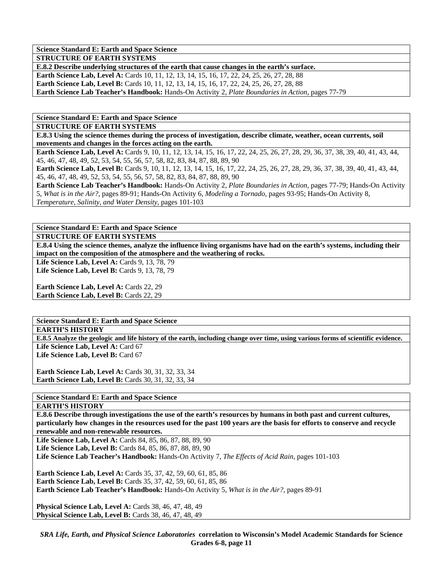**Science Standard E: Earth and Space Science** 

**STRUCTURE OF EARTH SYSTEMS** 

**E.8.2 Describe underlying structures of the earth that cause changes in the earth's surface.**  Earth Science Lab, Level A: Cards 10, 11, 12, 13, 14, 15, 16, 17, 22, 24, 25, 26, 27, 28, 88 **Earth Science Lab, Level B:** Cards 10, 11, 12, 13, 14, 15, 16, 17, 22, 24, 25, 26, 27, 28, 88 **Earth Science Lab Teacher's Handbook:** Hands-On Activity 2, *Plate Boundaries in Action,* pages 77-79

**Science Standard E: Earth and Space Science** 

**STRUCTURE OF EARTH SYSTEMS** 

**E.8.3 Using the science themes during the process of investigation, describe climate, weather, ocean currents, soil movements and changes in the forces acting on the earth.** 

Earth Science Lab, Level A: Cards 9, 10, 11, 12, 13, 14, 15, 16, 17, 22, 24, 25, 26, 27, 28, 29, 36, 37, 38, 39, 40, 41, 43, 44, 45, 46, 47, 48, 49, 52, 53, 54, 55, 56, 57, 58, 82, 83, 84, 87, 88, 89, 90

**Earth Science Lab, Level B:** Cards 9, 10, 11, 12, 13, 14, 15, 16, 17, 22, 24, 25, 26, 27, 28, 29, 36, 37, 38, 39, 40, 41, 43, 44, 45, 46, 47, 48, 49, 52, 53, 54, 55, 56, 57, 58, 82, 83, 84, 87, 88, 89, 90

**Earth Science Lab Teacher's Handbook:** Hands-On Activity 2, *Plate Boundaries in Action,* pages 77-79; Hands-On Activity 5, *What is in the Air?,* pages 89-91; Hands-On Activity 6, *Modeling a Tornado,* pages 93-95; Hands-On Activity 8, *Temperature, Salinity, and Water Density,* pages 101-103

**Science Standard E: Earth and Space Science** 

**STRUCTURE OF EARTH SYSTEMS** 

**E.8.4 Using the science themes, analyze the influence living organisms have had on the earth's systems, including their impact on the composition of the atmosphere and the weathering of rocks.** 

Life Science Lab, Level A: Cards 9, 13, 78, 79

Life Science Lab, Level B: Cards 9, 13, 78, 79

Earth Science Lab, Level A: Cards 22, 29 Earth Science Lab, Level B: Cards 22, 29

**Science Standard E: Earth and Space Science** 

### **EARTH'S HISTORY**

**E.8.5 Analyze the geologic and life history of the earth, including change over time, using various forms of scientific evidence.**  Life Science Lab, Level A: Card 67

Life Science Lab, Level B: Card 67

**Earth Science Lab, Level A: Cards 30, 31, 32, 33, 34 Earth Science Lab, Level B: Cards 30, 31, 32, 33, 34** 

**Science Standard E: Earth and Space Science** 

#### **EARTH'S HISTORY**

**E.8.6 Describe through investigations the use of the earth's resources by humans in both past and current cultures, particularly how changes in the resources used for the past 100 years are the basis for efforts to conserve and recycle renewable and non-renewable resources.** 

**Life Science Lab, Level A:** Cards 84, 85, 86, 87, 88, 89, 90 **Life Science Lab, Level B:** Cards 84, 85, 86, 87, 88, 89, 90 **Life Science Lab Teacher's Handbook:** Hands-On Activity 7, *The Effects of Acid Rain,* pages 101-103

**Earth Science Lab, Level A:** Cards 35, 37, 42, 59, 60, 61, 85, 86 **Earth Science Lab, Level B:** Cards 35, 37, 42, 59, 60, 61, 85, 86 **Earth Science Lab Teacher's Handbook:** Hands-On Activity 5, *What is in the Air?,* pages 89-91

**Physical Science Lab, Level A: Cards 38, 46, 47, 48, 49 Physical Science Lab, Level B: Cards 38, 46, 47, 48, 49**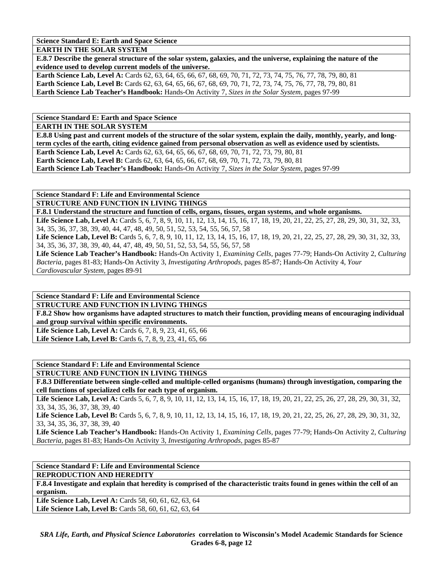**Science Standard E: Earth and Space Science** 

**EARTH IN THE SOLAR SYSTEM** 

**E.8.7 Describe the general structure of the solar system, galaxies, and the universe, explaining the nature of the evidence used to develop current models of the universe.** 

**Earth Science Lab, Level A:** Cards 62, 63, 64, 65, 66, 67, 68, 69, 70, 71, 72, 73, 74, 75, 76, 77, 78, 79, 80, 81 **Earth Science Lab, Level B:** Cards 62, 63, 64, 65, 66, 67, 68, 69, 70, 71, 72, 73, 74, 75, 76, 77, 78, 79, 80, 81 **Earth Science Lab Teacher's Handbook:** Hands-On Activity 7, *Sizes in the Solar System,* pages 97-99

**Science Standard E: Earth and Space Science** 

**EARTH IN THE SOLAR SYSTEM** 

**E.8.8 Using past and current models of the structure of the solar system, explain the daily, monthly, yearly, and longterm cycles of the earth, citing evidence gained from personal observation as well as evidence used by scientists.** 

Earth Science Lab, Level A: Cards 62, 63, 64, 65, 66, 67, 68, 69, 70, 71, 72, 73, 79, 80, 81 **Earth Science Lab, Level B:** Cards 62, 63, 64, 65, 66, 67, 68, 69, 70, 71, 72, 73, 79, 80, 81

**Earth Science Lab Teacher's Handbook:** Hands-On Activity 7, *Sizes in the Solar System,* pages 97-99

**Science Standard F: Life and Environmental Science** 

**STRUCTURE AND FUNCTION IN LIVING THINGS** 

**F.8.1 Understand the structure and function of cells, organs, tissues, organ systems, and whole organisms.** 

Life Science Lab, Level A: Cards 5, 6, 7, 8, 9, 10, 11, 12, 13, 14, 15, 16, 17, 18, 19, 20, 21, 22, 25, 27, 28, 29, 30, 31, 32, 33, 34, 35, 36, 37, 38, 39, 40, 44, 47, 48, 49, 50, 51, 52, 53, 54, 55, 56, 57, 58

Life Science Lab, Level B: Cards 5, 6, 7, 8, 9, 10, 11, 12, 13, 14, 15, 16, 17, 18, 19, 20, 21, 22, 25, 27, 28, 29, 30, 31, 32, 33, 34, 35, 36, 37, 38, 39, 40, 44, 47, 48, 49, 50, 51, 52, 53, 54, 55, 56, 57, 58

**Life Science Lab Teacher's Handbook:** Hands-On Activity 1, *Examining Cells,* pages 77-79; Hands-On Activity 2, *Culturing Bacteria,* pages 81-83; Hands-On Activity 3, *Investigating Arthropods,* pages 85-87; Hands-On Activity 4, *Your Cardiovascular System,* pages 89-91

**Science Standard F: Life and Environmental Science STRUCTURE AND FUNCTION IN LIVING THINGS** 

**F.8.2 Show how organisms have adapted structures to match their function, providing means of encouraging individual and group survival within specific environments.** 

**Life Science Lab, Level A:** Cards 6, 7, 8, 9, 23, 41, 65, 66 Life Science Lab, Level B: Cards 6, 7, 8, 9, 23, 41, 65, 66

**Science Standard F: Life and Environmental Science** 

**STRUCTURE AND FUNCTION IN LIVING THINGS** 

**F.8.3 Differentiate between single-celled and multiple-celled organisms (humans) through investigation, comparing the cell functions of specialized cells for each type of organism.** 

Life Science Lab, Level A: Cards 5, 6, 7, 8, 9, 10, 11, 12, 13, 14, 15, 16, 17, 18, 19, 20, 21, 22, 25, 26, 27, 28, 29, 30, 31, 32, 33, 34, 35, 36, 37, 38, 39, 40

Life Science Lab, Level B: Cards 5, 6, 7, 8, 9, 10, 11, 12, 13, 14, 15, 16, 17, 18, 19, 20, 21, 22, 25, 26, 27, 28, 29, 30, 31, 32, 33, 34, 35, 36, 37, 38, 39, 40

**Life Science Lab Teacher's Handbook:** Hands-On Activity 1, *Examining Cells,* pages 77-79; Hands-On Activity 2, *Culturing Bacteria,* pages 81-83; Hands-On Activity 3, *Investigating Arthropods,* pages 85-87

**Science Standard F: Life and Environmental Science** 

**REPRODUCTION AND HEREDITY** 

**F.8.4 Investigate and explain that heredity is comprised of the characteristic traits found in genes within the cell of an organism.** 

Life Science Lab, Level A: Cards 58, 60, 61, 62, 63, 64 Life Science Lab, Level B: Cards 58, 60, 61, 62, 63, 64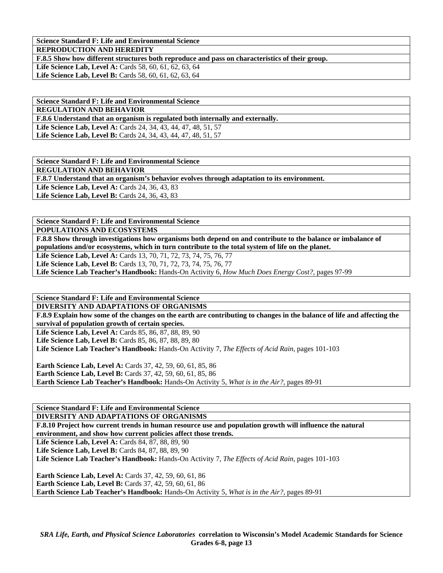**Science Standard F: Life and Environmental Science REPRODUCTION AND HEREDITY** 

**F.8.5 Show how different structures both reproduce and pass on characteristics of their group.** 

Life Science Lab, Level A: Cards 58, 60, 61, 62, 63, 64 Life Science Lab, Level B: Cards 58, 60, 61, 62, 63, 64

**Science Standard F: Life and Environmental Science REGULATION AND BEHAVIOR F.8.6 Understand that an organism is regulated both internally and externally. Life Science Lab, Level A:** Cards 24, 34, 43, 44, 47, 48, 51, 57 **Life Science Lab, Level B:** Cards 24, 34, 43, 44, 47, 48, 51, 57

**Science Standard F: Life and Environmental Science REGULATION AND BEHAVIOR F.8.7 Understand that an organism's behavior evolves through adaptation to its environment. Life Science Lab, Level A: Cards 24, 36, 43, 83** Life Science Lab, Level B: Cards 24, 36, 43, 83

**Science Standard F: Life and Environmental Science** 

**POPULATIONS AND ECOSYSTEMS** 

**F.8.8 Show through investigations how organisms both depend on and contribute to the balance or imbalance of populations and/or ecosystems, which in turn contribute to the total system of life on the planet.** 

**Life Science Lab, Level A:** Cards 13, 70, 71, 72, 73, 74, 75, 76, 77

Life Science Lab, Level B: Cards 13, 70, 71, 72, 73, 74, 75, 76, 77

**Life Science Lab Teacher's Handbook:** Hands-On Activity 6, *How Much Does Energy Cost?,* pages 97-99

**Science Standard F: Life and Environmental Science DIVERSITY AND ADAPTATIONS OF ORGANISMS** 

**F.8.9 Explain how some of the changes on the earth are contributing to changes in the balance of life and affecting the survival of population growth of certain species.** 

Life Science Lab, Level A: Cards 85, 86, 87, 88, 89, 90 Life Science Lab, Level B: Cards 85, 86, 87, 88, 89, 80 **Life Science Lab Teacher's Handbook:** Hands-On Activity 7, *The Effects of Acid Rain,* pages 101-103

**Earth Science Lab, Level A:** Cards 37, 42, 59, 60, 61, 85, 86 **Earth Science Lab, Level B:** Cards 37, 42, 59, 60, 61, 85, 86 **Earth Science Lab Teacher's Handbook:** Hands-On Activity 5, *What is in the Air?,* pages 89-91

**Science Standard F: Life and Environmental Science** 

**DIVERSITY AND ADAPTATIONS OF ORGANISMS** 

**F.8.10 Project how current trends in human resource use and population growth will influence the natural environment, and show how current policies affect those trends.** 

Life Science Lab, Level A: Cards 84, 87, 88, 89, 90

**Life Science Lab, Level B: Cards 84, 87, 88, 89, 90** 

**Life Science Lab Teacher's Handbook:** Hands-On Activity 7, *The Effects of Acid Rain,* pages 101-103

**Earth Science Lab, Level A:** Cards 37, 42, 59, 60, 61, 86 **Earth Science Lab, Level B:** Cards 37, 42, 59, 60, 61, 86 **Earth Science Lab Teacher's Handbook:** Hands-On Activity 5, *What is in the Air?,* pages 89-91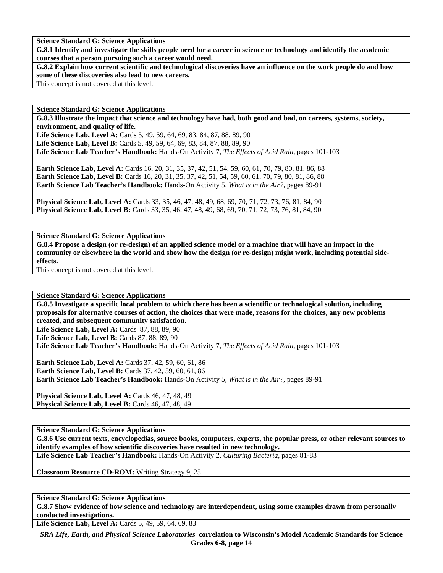**Science Standard G: Science Applications** 

**G.8.1 Identify and investigate the skills people need for a career in science or technology and identify the academic courses that a person pursuing such a career would need.** 

**G.8.2 Explain how current scientific and technological discoveries have an influence on the work people do and how some of these discoveries also lead to new careers.** 

This concept is not covered at this level.

**Science Standard G: Science Applications** 

**G.8.3 Illustrate the impact that science and technology have had, both good and bad, on careers, systems, society, environment, and quality of life.** 

Life Science Lab, Level A: Cards 5, 49, 59, 64, 69, 83, 84, 87, 88, 89, 90 Life Science Lab, Level B: Cards 5, 49, 59, 64, 69, 83, 84, 87, 88, 89, 90 **Life Science Lab Teacher's Handbook:** Hands-On Activity 7, *The Effects of Acid Rain,* pages 101-103

**Earth Science Lab, Level A:** Cards 16, 20, 31, 35, 37, 42, 51, 54, 59, 60, 61, 70, 79, 80, 81, 86, 88 **Earth Science Lab, Level B:** Cards 16, 20, 31, 35, 37, 42, 51, 54, 59, 60, 61, 70, 79, 80, 81, 86, 88 **Earth Science Lab Teacher's Handbook:** Hands-On Activity 5, *What is in the Air?,* pages 89-91

**Physical Science Lab, Level A:** Cards 33, 35, 46, 47, 48, 49, 68, 69, 70, 71, 72, 73, 76, 81, 84, 90 **Physical Science Lab, Level B:** Cards 33, 35, 46, 47, 48, 49, 68, 69, 70, 71, 72, 73, 76, 81, 84, 90

**Science Standard G: Science Applications** 

**G.8.4 Propose a design (or re-design) of an applied science model or a machine that will have an impact in the community or elsewhere in the world and show how the design (or re-design) might work, including potential sideeffects.** 

This concept is not covered at this level.

**Science Standard G: Science Applications** 

**G.8.5 Investigate a specific local problem to which there has been a scientific or technological solution, including proposals for alternative courses of action, the choices that were made, reasons for the choices, any new problems created, and subsequent community satisfaction.** 

**Life Science Lab, Level A: Cards 87, 88, 89, 90** 

Life Science Lab, Level B: Cards 87, 88, 89, 90

**Life Science Lab Teacher's Handbook:** Hands-On Activity 7, *The Effects of Acid Rain,* pages 101-103

**Earth Science Lab, Level A: Cards 37, 42, 59, 60, 61, 86 Earth Science Lab, Level B:** Cards 37, 42, 59, 60, 61, 86 **Earth Science Lab Teacher's Handbook:** Hands-On Activity 5, *What is in the Air?,* pages 89-91

**Physical Science Lab, Level A: Cards 46, 47, 48, 49 Physical Science Lab, Level B: Cards 46, 47, 48, 49** 

**Science Standard G: Science Applications** 

**G.8.6 Use current texts, encyclopedias, source books, computers, experts, the popular press, or other relevant sources to identify examples of how scientific discoveries have resulted in new technology.** 

**Life Science Lab Teacher's Handbook:** Hands-On Activity 2, *Culturing Bacteria,* pages 81-83

**Classroom Resource CD-ROM:** Writing Strategy 9, 25

**Science Standard G: Science Applications** 

**G.8.7 Show evidence of how science and technology are interdependent, using some examples drawn from personally conducted investigations.** 

Life Science Lab, Level A: Cards 5, 49, 59, 64, 69, 83